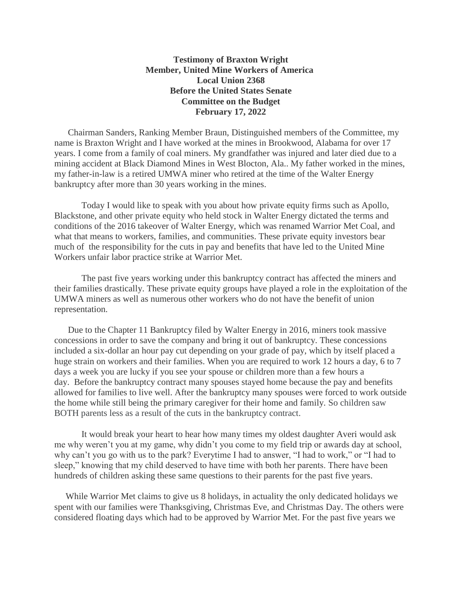## **Testimony of Braxton Wright Member, United Mine Workers of America Local Union 2368 Before the United States Senate Committee on the Budget February 17, 2022**

Chairman Sanders, Ranking Member Braun, Distinguished members of the Committee, my name is Braxton Wright and I have worked at the mines in Brookwood, Alabama for over 17 years. I come from a family of coal miners. My grandfather was injured and later died due to a mining accident at Black Diamond Mines in West Blocton, Ala.. My father worked in the mines, my father-in-law is a retired UMWA miner who retired at the time of the Walter Energy bankruptcy after more than 30 years working in the mines.

Today I would like to speak with you about how private equity firms such as Apollo, Blackstone, and other private equity who held stock in Walter Energy dictated the terms and conditions of the 2016 takeover of Walter Energy, which was renamed Warrior Met Coal, and what that means to workers, families, and communities. These private equity investors bear much of the responsibility for the cuts in pay and benefits that have led to the United Mine Workers unfair labor practice strike at Warrior Met.

The past five years working under this bankruptcy contract has affected the miners and their families drastically. These private equity groups have played a role in the exploitation of the UMWA miners as well as numerous other workers who do not have the benefit of union representation.

 Due to the Chapter 11 Bankruptcy filed by Walter Energy in 2016, miners took massive concessions in order to save the company and bring it out of bankruptcy. These concessions included a six-dollar an hour pay cut depending on your grade of pay, which by itself placed a huge strain on workers and their families. When you are required to work 12 hours a day, 6 to 7 days a week you are lucky if you see your spouse or children more than a few hours a day. Before the bankruptcy contract many spouses stayed home because the pay and benefits allowed for families to live well. After the bankruptcy many spouses were forced to work outside the home while still being the primary caregiver for their home and family. So children saw BOTH parents less as a result of the cuts in the bankruptcy contract.

It would break your heart to hear how many times my oldest daughter Averi would ask me why weren't you at my game, why didn't you come to my field trip or awards day at school, why can't you go with us to the park? Everytime I had to answer, "I had to work," or "I had to sleep," knowing that my child deserved to have time with both her parents. There have been hundreds of children asking these same questions to their parents for the past five years.

 While Warrior Met claims to give us 8 holidays, in actuality the only dedicated holidays we spent with our families were Thanksgiving, Christmas Eve, and Christmas Day. The others were considered floating days which had to be approved by Warrior Met. For the past five years we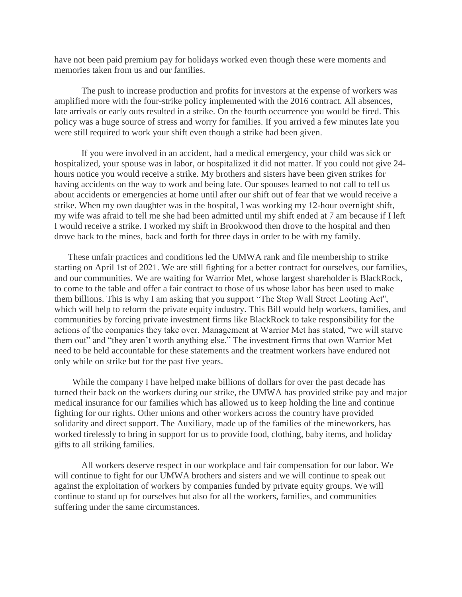have not been paid premium pay for holidays worked even though these were moments and memories taken from us and our families.

The push to increase production and profits for investors at the expense of workers was amplified more with the four-strike policy implemented with the 2016 contract. All absences, late arrivals or early outs resulted in a strike. On the fourth occurrence you would be fired. This policy was a huge source of stress and worry for families. If you arrived a few minutes late you were still required to work your shift even though a strike had been given.

If you were involved in an accident, had a medical emergency, your child was sick or hospitalized, your spouse was in labor, or hospitalized it did not matter. If you could not give 24 hours notice you would receive a strike. My brothers and sisters have been given strikes for having accidents on the way to work and being late. Our spouses learned to not call to tell us about accidents or emergencies at home until after our shift out of fear that we would receive a strike. When my own daughter was in the hospital, I was working my 12-hour overnight shift, my wife was afraid to tell me she had been admitted until my shift ended at 7 am because if I left I would receive a strike. I worked my shift in Brookwood then drove to the hospital and then drove back to the mines, back and forth for three days in order to be with my family.

 These unfair practices and conditions led the UMWA rank and file membership to strike starting on April 1st of 2021. We are still fighting for a better contract for ourselves, our families, and our communities. We are waiting for Warrior Met, whose largest shareholder is BlackRock, to come to the table and offer a fair contract to those of us whose labor has been used to make them billions. This is why I am asking that you support "The Stop Wall Street Looting Act'', which will help to reform the private equity industry. This Bill would help workers, families, and communities by forcing private investment firms like BlackRock to take responsibility for the actions of the companies they take over. Management at Warrior Met has stated, "we will starve them out" and "they aren't worth anything else." The investment firms that own Warrior Met need to be held accountable for these statements and the treatment workers have endured not only while on strike but for the past five years.

 While the company I have helped make billions of dollars for over the past decade has turned their back on the workers during our strike, the UMWA has provided strike pay and major medical insurance for our families which has allowed us to keep holding the line and continue fighting for our rights. Other unions and other workers across the country have provided solidarity and direct support. The Auxiliary, made up of the families of the mineworkers, has worked tirelessly to bring in support for us to provide food, clothing, baby items, and holiday gifts to all striking families.

All workers deserve respect in our workplace and fair compensation for our labor. We will continue to fight for our UMWA brothers and sisters and we will continue to speak out against the exploitation of workers by companies funded by private equity groups. We will continue to stand up for ourselves but also for all the workers, families, and communities suffering under the same circumstances.